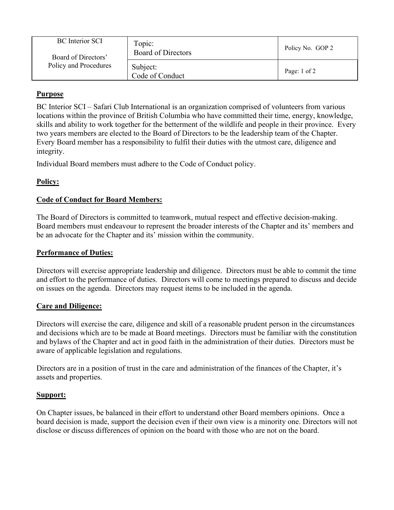| <b>BC</b> Interior SCI<br>Board of Directors'<br>Policy and Procedures | Topic:<br>Board of Directors | Policy No. GOP 2 |
|------------------------------------------------------------------------|------------------------------|------------------|
|                                                                        | Subject:<br>Code of Conduct  | Page: 1 of 2     |

# **Purpose**

BC Interior SCI – Safari Club International is an organization comprised of volunteers from various locations within the province of British Columbia who have committed their time, energy, knowledge, skills and ability to work together for the betterment of the wildlife and people in their province. Every two years members are elected to the Board of Directors to be the leadership team of the Chapter. Every Board member has a responsibility to fulfil their duties with the utmost care, diligence and integrity.

Individual Board members must adhere to the Code of Conduct policy.

# **Policy:**

# **Code of Conduct for Board Members:**

The Board of Directors is committed to teamwork, mutual respect and effective decision-making. Board members must endeavour to represent the broader interests of the Chapter and its' members and be an advocate for the Chapter and its' mission within the community.

## **Performance of Duties:**

Directors will exercise appropriate leadership and diligence. Directors must be able to commit the time and effort to the performance of duties. Directors will come to meetings prepared to discuss and decide on issues on the agenda. Directors may request items to be included in the agenda.

### **Care and Diligence:**

Directors will exercise the care, diligence and skill of a reasonable prudent person in the circumstances and decisions which are to be made at Board meetings. Directors must be familiar with the constitution and bylaws of the Chapter and act in good faith in the administration of their duties. Directors must be aware of applicable legislation and regulations.

Directors are in a position of trust in the care and administration of the finances of the Chapter, it's assets and properties.

### **Support:**

On Chapter issues, be balanced in their effort to understand other Board members opinions. Once a board decision is made, support the decision even if their own view is a minority one. Directors will not disclose or discuss differences of opinion on the board with those who are not on the board.